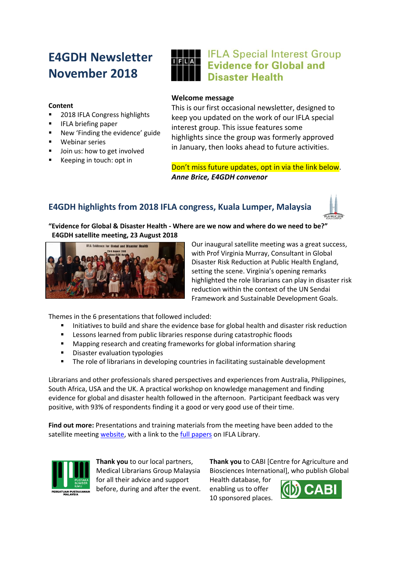# **E4GDH Newsletter November 2018**

#### **Content**

- 2018 IFLA Congress highlights
- IFLA briefing paper
- New 'Finding the evidence' guide
- Webinar series
- Join us: how to get involved
- Keeping in touch: opt in

## **THE IFLA Special Interest Group Evidence for Global and Disaster Health**

#### **Welcome message**

This is our first occasional newsletter, designed to keep you updated on the work of our IFLA special interest group. This issue features some highlights since the group was formerly approved in January, then looks ahead to future activities.

Don't miss future updates, opt in via the link below. *Anne Brice, E4GDH convenor*

## **E4GDH highlights from 2018 IFLA congress, Kuala Lumper, Malaysia**



#### **"Evidence for Global & Disaster Health - Where are we now and where do we need to be?" E4GDH satellite meeting, 23 August 2018**



Our inaugural satellite meeting was a great success, with Prof Virginia Murray, Consultant in Global Disaster Risk Reduction at Public Health England, setting the scene. Virginia's opening remarks highlighted the role librarians can play in disaster risk reduction within the context of the UN Sendai Framework and Sustainable Development Goals.

Themes in the 6 presentations that followed included:

- Initiatives to build and share the evidence base for global health and disaster risk reduction
- Lessons learned from public libraries response during catastrophic floods
- Mapping research and creating frameworks for global information sharing
- Disaster evaluation typologies
- The role of librarians in developing countries in facilitating sustainable development

Librarians and other professionals shared perspectives and experiences from Australia, Philippines, South Africa, USA and the UK. A practical workshop on knowledge management and finding evidence for global and disaster health followed in the afternoon. Participant feedback was very positive, with 93% of respondents finding it a good or very good use of their time.

**Find out more:** Presentations and training materials from the meeting have been added to the satellite meeting [website,](https://sites.google.com/view/ifla2018e4gdh/bios-and-papers) with a link to th[e full papers](http://library.ifla.org/view/conferences/2018/2018-08-23/882.html) on IFLA Library.



**Thank you** to our local partners, Medical Librarians Group Malaysia for all their advice and support before, during and after the event. **Thank you** to CABI [Centre for Agriculture and Biosciences International], who publish Global

Health database, for enabling us to offer 10 sponsored places.